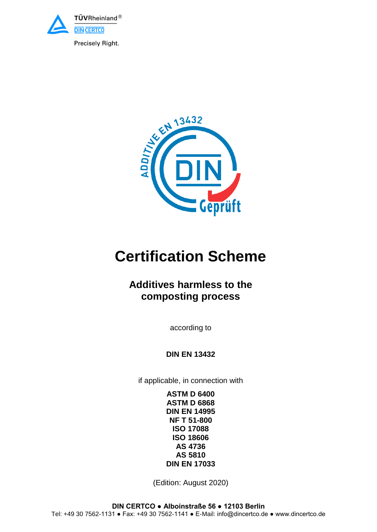

EN 13432

# **Certification Scheme**

# **Additives harmless to the composting process**

according to

**DIN EN 13432**

if applicable, in connection with

**ASTM D 6400 ASTM D 6868 DIN EN 14995 NF T 51-800 ISO 17088 ISO 18606 AS 4736 AS 5810 DIN EN 17033**

(Edition: August 2020)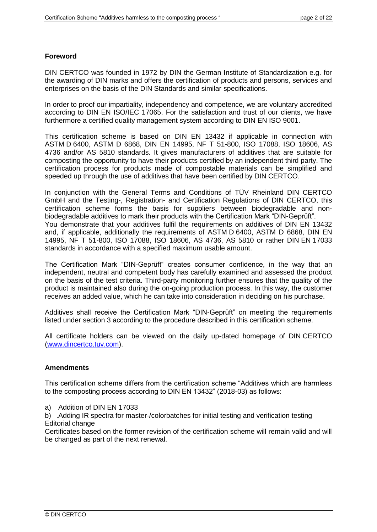# **Foreword**

DIN CERTCO was founded in 1972 by DIN the German Institute of Standardization e.g. for the awarding of DIN marks and offers the certification of products and persons, services and enterprises on the basis of the DIN Standards and similar specifications.

In order to proof our impartiality, independency and competence, we are voluntary accredited according to DIN EN ISO/IEC 17065. For the satisfaction and trust of our clients, we have furthermore a certified quality management system according to DIN EN ISO 9001.

This certification scheme is based on DIN EN 13432 if applicable in connection with ASTM D 6400, ASTM D 6868, DIN EN 14995, NF T 51-800, ISO 17088, ISO 18606, AS 4736 and/or AS 5810 standards. It gives manufacturers of additives that are suitable for composting the opportunity to have their products certified by an independent third party. The certification process for products made of compostable materials can be simplified and speeded up through the use of additives that have been certified by DIN CERTCO.

In conjunction with the General Terms and Conditions of TÜV Rheinland DIN CERTCO GmbH and the Testing-, Registration- and Certification Regulations of DIN CERTCO, this certification scheme forms the basis for suppliers between biodegradable and nonbiodegradable additives to mark their products with the Certification Mark "DIN-Geprüft". You demonstrate that your additives fulfil the requirements on additives of DIN EN 13432 and, if applicable, additionally the requirements of ASTM D 6400, ASTM D 6868, DIN EN 14995, NF T 51-800, ISO 17088, ISO 18606, AS 4736, AS 5810 or rather DIN EN 17033 standards in accordance with a specified maximum usable amount.

The Certification Mark "DIN-Geprüft" creates consumer confidence, in the way that an independent, neutral and competent body has carefully examined and assessed the product on the basis of the test criteria. Third-party monitoring further ensures that the quality of the product is maintained also during the on-going production process. In this way, the customer receives an added value, which he can take into consideration in deciding on his purchase.

Additives shall receive the Certification Mark "DIN-Geprüft" on meeting the requirements listed under section [3](#page-5-0) according to the procedure described in this certification scheme.

All certificate holders can be viewed on the daily up-dated homepage of DIN CERTCO [\(www.dincertco.tuv.com\)](https://www.dincertco.tuv.com/search?locale=de&q=).

# **Amendments**

This certification scheme differs from the certification scheme "Additives which are harmless to the composting process according to DIN EN 13432" (2018-03) as follows:

a) Addition of DIN EN 17033

b) .Adding IR spectra for master-/colorbatches for initial testing and verification testing Editorial change

Certificates based on the former revision of the certification scheme will remain valid and will be changed as part of the next renewal.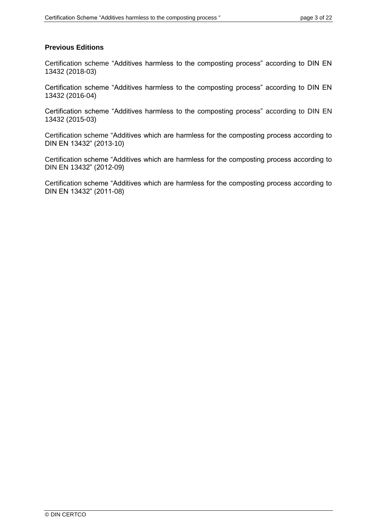# **Previous Editions**

Certification scheme "Additives harmless to the composting process" according to DIN EN 13432 (2018-03)

Certification scheme "Additives harmless to the composting process" according to DIN EN 13432 (2016-04)

Certification scheme "Additives harmless to the composting process" according to DIN EN 13432 (2015-03)

Certification scheme "Additives which are harmless for the composting process according to DIN EN 13432" (2013-10)

Certification scheme "Additives which are harmless for the composting process according to DIN EN 13432" (2012-09)

Certification scheme "Additives which are harmless for the composting process according to DIN EN 13432" (2011-08)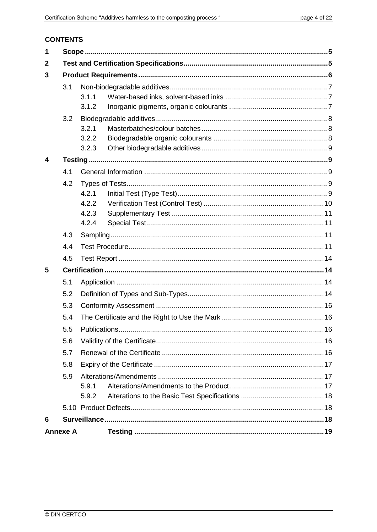# **CONTENTS**

| 1               |     |                |  |  |  |  |  |
|-----------------|-----|----------------|--|--|--|--|--|
| $\mathbf{2}$    |     |                |  |  |  |  |  |
| 3               |     |                |  |  |  |  |  |
|                 | 3.1 |                |  |  |  |  |  |
|                 |     | 3.1.1          |  |  |  |  |  |
|                 |     | 3.1.2          |  |  |  |  |  |
|                 | 3.2 |                |  |  |  |  |  |
|                 |     | 3.2.1          |  |  |  |  |  |
|                 |     | 3.2.2          |  |  |  |  |  |
|                 |     | 3.2.3          |  |  |  |  |  |
| 4               |     |                |  |  |  |  |  |
|                 | 4.1 |                |  |  |  |  |  |
|                 | 4.2 |                |  |  |  |  |  |
|                 |     | 4.2.1          |  |  |  |  |  |
|                 |     | 4.2.2          |  |  |  |  |  |
|                 |     | 4.2.3<br>4.2.4 |  |  |  |  |  |
|                 | 4.3 |                |  |  |  |  |  |
|                 | 4.4 |                |  |  |  |  |  |
|                 |     |                |  |  |  |  |  |
|                 | 4.5 |                |  |  |  |  |  |
| 5               |     |                |  |  |  |  |  |
|                 | 5.1 |                |  |  |  |  |  |
|                 | 5.2 |                |  |  |  |  |  |
|                 | 5.3 |                |  |  |  |  |  |
| 5.4             |     |                |  |  |  |  |  |
|                 |     |                |  |  |  |  |  |
|                 |     |                |  |  |  |  |  |
|                 |     |                |  |  |  |  |  |
|                 | 5.8 |                |  |  |  |  |  |
|                 | 5.9 |                |  |  |  |  |  |
|                 |     | 5.9.1          |  |  |  |  |  |
|                 |     | 5.9.2          |  |  |  |  |  |
|                 |     |                |  |  |  |  |  |
| 6               |     |                |  |  |  |  |  |
| <b>Annexe A</b> |     |                |  |  |  |  |  |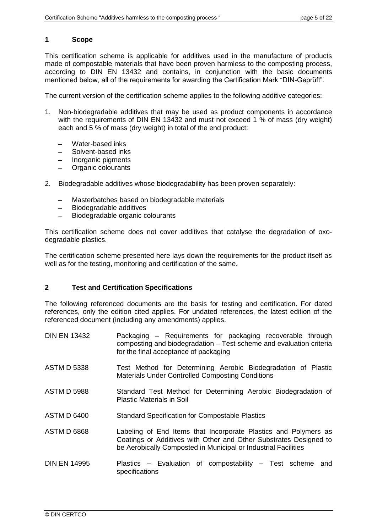# <span id="page-4-0"></span>**1 Scope**

This certification scheme is applicable for additives used in the manufacture of products made of compostable materials that have been proven harmless to the composting process, according to DIN EN 13432 and contains, in conjunction with the basic documents mentioned below, all of the requirements for awarding the Certification Mark "DIN-Geprüft".

The current version of the certification scheme applies to the following additive categories:

- 1. Non-biodegradable additives that may be used as product components in accordance with the requirements of DIN EN 13432 and must not exceed 1 % of mass (dry weight) each and 5 % of mass (dry weight) in total of the end product:
	- Water-based inks
	- Solvent-based inks
	- Inorganic pigments
	- ─ Organic colourants
- 2. Biodegradable additives whose biodegradability has been proven separately:
	- Masterbatches based on biodegradable materials
	- Biodegradable additives
	- Biodegradable organic colourants

This certification scheme does not cover additives that catalyse the degradation of oxodegradable plastics.

The certification scheme presented here lays down the requirements for the product itself as well as for the testing, monitoring and certification of the same.

# **2 Test and Certification Specifications**

The following referenced documents are the basis for testing and certification. For dated references, only the edition cited applies. For undated references, the latest edition of the referenced document (including any amendments) applies.

| <b>DIN EN 13432</b> | Packaging – Requirements for packaging recoverable through<br>composting and biodegradation - Test scheme and evaluation criteria<br>for the final acceptance of packaging                             |
|---------------------|--------------------------------------------------------------------------------------------------------------------------------------------------------------------------------------------------------|
| <b>ASTM D 5338</b>  | Test Method for Determining Aerobic Biodegradation of Plastic<br><b>Materials Under Controlled Composting Conditions</b>                                                                               |
| <b>ASTM D 5988</b>  | Standard Test Method for Determining Aerobic Biodegradation of<br><b>Plastic Materials in Soil</b>                                                                                                     |
| <b>ASTM D 6400</b>  | <b>Standard Specification for Compostable Plastics</b>                                                                                                                                                 |
| <b>ASTM D 6868</b>  | Labeling of End Items that Incorporate Plastics and Polymers as<br>Coatings or Additives with Other and Other Substrates Designed to<br>be Aerobically Composted in Municipal or Industrial Facilities |
| <b>DIN EN 14995</b> | Plastics – Evaluation of compostability – Test scheme and<br>specifications                                                                                                                            |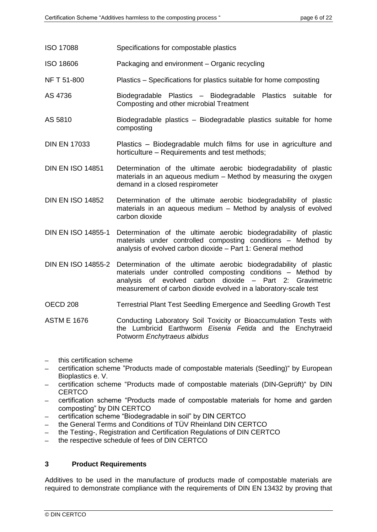- ISO 17088 Specifications for compostable plastics
- ISO 18606 Packaging and environment Organic recycling
- NF T 51-800 Plastics Specifications for plastics suitable for home composting
- AS 4736 Biodegradable Plastics Biodegradable Plastics suitable for Composting and other microbial Treatment
- AS 5810 Biodegradable plastics Biodegradable plastics suitable for home composting
- DIN EN 17033 Plastics Biodegradable mulch films for use in agriculture and horticulture – Requirements and test methods;
- DIN EN ISO 14851 Determination of the ultimate aerobic biodegradability of plastic materials in an aqueous medium – Method by measuring the oxygen demand in a closed respirometer
- DIN EN ISO 14852 Determination of the ultimate aerobic biodegradability of plastic materials in an aqueous medium – Method by analysis of evolved carbon dioxide
- DIN EN ISO 14855-1 Determination of the ultimate aerobic biodegradability of plastic materials under controlled composting conditions – Method by analysis of evolved carbon dioxide – Part 1: General method
- DIN EN ISO 14855-2 Determination of the ultimate aerobic biodegradability of plastic materials under controlled composting conditions – Method by analysis of evolved carbon dioxide – Part 2: Gravimetric measurement of carbon dioxide evolved in a laboratory-scale test
- OECD 208 Terrestrial Plant Test Seedling Emergence and Seedling Growth Test
- ASTM E 1676 Conducting Laboratory Soil Toxicity or Bioaccumulation Tests with the Lumbricid Earthworm *Eisenia Fetida* and the Enchytraeid Potworm *Enchytraeus albidus*
- this certification scheme
- ─ certification scheme "Products made of compostable materials (Seedling)" by European Bioplastics e. V.
- ─ certification scheme "Products made of compostable materials (DIN-Geprüft)" by DIN **CERTCO**
- certification scheme "Products made of compostable materials for home and garden composting" by DIN CERTCO
- certification scheme "Biodegradable in soil" by DIN CERTCO
- the General Terms and Conditions of TÜV Rheinland DIN CERTCO
- the Testing-, Registration and Certification Regulations of DIN CERTCO
- the respective schedule of fees of DIN CERTCO

#### <span id="page-5-0"></span>**3 Product Requirements**

Additives to be used in the manufacture of products made of compostable materials are required to demonstrate compliance with the requirements of DIN EN 13432 by proving that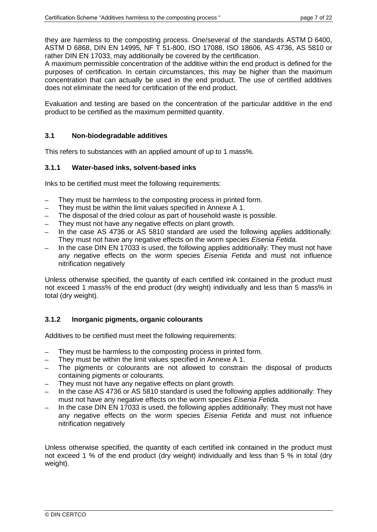they are harmless to the composting process. One/several of the standards ASTM D 6400, ASTM D 6868, DIN EN 14995, NF T 51-800, ISO 17088, ISO 18606, AS 4736, AS 5810 or rather DIN EN 17033, may additionally be covered by the certification.

A maximum permissible concentration of the additive within the end product is defined for the purposes of certification. In certain circumstances, this may be higher than the maximum concentration that can actually be used in the end product. The use of certified additives does not eliminate the need for certification of the end product.

Evaluation and testing are based on the concentration of the particular additive in the end product to be certified as the maximum permitted quantity.

# **3.1 Non-biodegradable additives**

This refers to substances with an applied amount of up to 1 mass%.

# **3.1.1 Water-based inks, solvent-based inks**

Inks to be certified must meet the following requirements:

- They must be harmless to the composting process in printed form.
- They must be within the limit values specified in [Annexe A](#page-17-0) 1.
- The disposal of the dried colour as part of household waste is possible.
- They must not have any negative effects on plant growth.
- In the case AS 4736 or AS 5810 standard are used the following applies additionally: They must not have any negative effects on the worm species *Eisenia Fetida.*
- In the case DIN EN 17033 is used, the following applies additionally: They must not have any negative effects on the worm species *Eisenia Fetida* and must not influence nitrification negatively

Unless otherwise specified, the quantity of each certified ink contained in the product must not exceed 1 mass% of the end product (dry weight) individually and less than 5 mass% in total (dry weight).

# **3.1.2 Inorganic pigments, organic colourants**

Additives to be certified must meet the following requirements:

- They must be harmless to the composting process in printed form.
- They must be within the limit values specified in [Annexe A](#page-17-0) 1.
- The pigments or colourants are not allowed to constrain the disposal of products containing pigments or colourants.
- They must not have any negative effects on plant growth.
- In the case AS 4736 or AS 5810 standard is used the following applies additionally: They must not have any negative effects on the worm species *Eisenia Fetida.*
- In the case DIN EN 17033 is used, the following applies additionally: They must not have any negative effects on the worm species *Eisenia Fetida* and must not influence nitrification negatively

Unless otherwise specified, the quantity of each certified ink contained in the product must not exceed 1 % of the end product (dry weight) individually and less than 5 % in total (dry weight).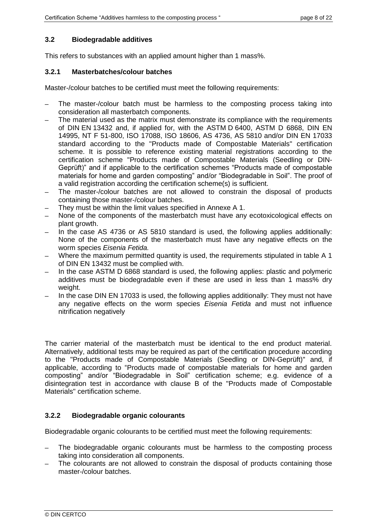# **3.2 Biodegradable additives**

This refers to substances with an applied amount higher than 1 mass%.

# **3.2.1 Masterbatches/colour batches**

Master-/colour batches to be certified must meet the following requirements:

- The master-/colour batch must be harmless to the composting process taking into consideration all masterbatch components.
- The material used as the matrix must demonstrate its compliance with the requirements of DIN EN 13432 and, if applied for, with the ASTM D 6400, ASTM D 6868, DIN EN 14995, NT F 51-800, ISO 17088, ISO 18606, AS 4736, AS 5810 and/or DIN EN 17033 standard according to the "Products made of Compostable Materials" certification scheme. It is possible to reference existing material registrations according to the certification scheme "Products made of Compostable Materials (Seedling or DIN-Geprüft)" and if applicable to the certification schemes "Products made of compostable materials for home and garden composting" and/or "Biodegradable in Soil". The proof of a valid registration according the certification scheme(s) is sufficient.
- The master-/colour batches are not allowed to constrain the disposal of products containing those master-/colour batches.
- They must be within the limit values specified in [Annexe A](#page-17-0) 1.
- None of the components of the masterbatch must have any ecotoxicological effects on plant growth.
- In the case AS 4736 or AS 5810 standard is used, the following applies additionally: None of the components of the masterbatch must have any negative effects on the worm species *Eisenia Fetida.*
- Where the maximum permitted quantity is used, the requirements stipulated in table A 1 of DIN EN 13432 must be complied with.
- In the case ASTM D 6868 standard is used, the following applies: plastic and polymeric additives must be biodegradable even if these are used in less than 1 mass% dry weight.
- In the case DIN EN 17033 is used, the following applies additionally: They must not have any negative effects on the worm species *Eisenia Fetida* and must not influence nitrification negatively

The carrier material of the masterbatch must be identical to the end product material. Alternatively, additional tests may be required as part of the certification procedure according to the "Products made of Compostable Materials (Seedling or DIN-Geprüft)" and, if applicable, according to "Products made of compostable materials for home and garden composting" and/or "Biodegradable in Soil" certification scheme; e.g. evidence of a disintegration test in accordance with clause B of the "Products made of Compostable Materials" certification scheme.

# **3.2.2 Biodegradable organic colourants**

Biodegradable organic colourants to be certified must meet the following requirements:

- The biodegradable organic colourants must be harmless to the composting process taking into consideration all components.
- The colourants are not allowed to constrain the disposal of products containing those master-/colour batches.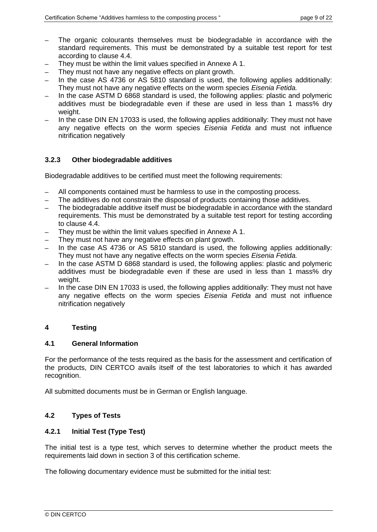- The organic colourants themselves must be biodegradable in accordance with the standard requirements. This must be demonstrated by a suitable test report for test according to clause [4.4.](#page-10-0)
- They must be within the limit values specified in [Annexe A](#page-17-0) 1.
- They must not have any negative effects on plant growth.
- In the case AS 4736 or AS 5810 standard is used, the following applies additionally: They must not have any negative effects on the worm species *Eisenia Fetida.*
- In the case ASTM D 6868 standard is used, the following applies: plastic and polymeric additives must be biodegradable even if these are used in less than 1 mass% dry weight.
- In the case DIN EN 17033 is used, the following applies additionally: They must not have any negative effects on the worm species *Eisenia Fetida* and must not influence nitrification negatively

# **3.2.3 Other biodegradable additives**

Biodegradable additives to be certified must meet the following requirements:

- All components contained must be harmless to use in the composting process.
- The additives do not constrain the disposal of products containing those additives.
- The biodegradable additive itself must be biodegradable in accordance with the standard requirements. This must be demonstrated by a suitable test report for testing according to clause [4.4.](#page-10-0)
- They must be within the limit values specified in [Annexe A](#page-17-0) 1.
- They must not have any negative effects on plant growth.
- In the case AS 4736 or AS 5810 standard is used, the following applies additionally: They must not have any negative effects on the worm species *Eisenia Fetida.*
- In the case ASTM D 6868 standard is used, the following applies: plastic and polymeric additives must be biodegradable even if these are used in less than 1 mass% dry weight.
- In the case DIN EN 17033 is used, the following applies additionally: They must not have any negative effects on the worm species *Eisenia Fetida* and must not influence nitrification negatively

# <span id="page-8-1"></span>**4 Testing**

# **4.1 General Information**

For the performance of the tests required as the basis for the assessment and certification of the products, DIN CERTCO avails itself of the test laboratories to which it has awarded recognition.

All submitted documents must be in German or English language.

# **4.2 Types of Tests**

# <span id="page-8-0"></span>**4.2.1 Initial Test (Type Test)**

The initial test is a type test, which serves to determine whether the product meets the requirements laid down in section [3](#page-5-0) of this certification scheme.

The following documentary evidence must be submitted for the initial test: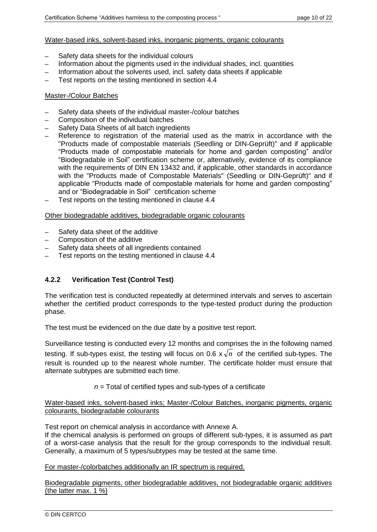#### Water-based inks, solvent-based inks, inorganic pigments, organic colourants

- Safety data sheets for the individual colours
- Information about the pigments used in the individual shades, incl. quantities
- $-$  Information about the solvents used, incl. safety data sheets if applicable
- Test reports on the testing mentioned in section [4.4](#page-10-0)

#### Master-/Colour Batches

- Safety data sheets of the individual master-/colour batches
- Composition of the individual batches
- Safety Data Sheets of all batch ingredients
- Reference to registration of the material used as the matrix in accordance with the "Products made of compostable materials (Seedling or DIN-Geprüft)" and if applicable "Products made of compostable materials for home and garden composting" and/or "Biodegradable in Soil" certification scheme or, alternatively, evidence of its compliance with the requirements of DIN EN 13432 and, if applicable, other standards in accordance with the "Products made of Compostable Materials" (Seedling or DIN-Geprüft)" and if applicable "Products made of compostable materials for home and garden composting" and or "Biodegradable in Soil" certification scheme
- Test reports on the testing mentioned in clause [4.4](#page-10-0)

#### Other biodegradable additives, biodegradable organic colourants

- ─ Safety data sheet of the additive
- Composition of the additive
- Safety data sheets of all ingredients contained
- Test reports on the testing mentioned in clause [4.4](#page-10-0)

# <span id="page-9-0"></span>**4.2.2 Verification Test (Control Test)**

The verification test is conducted repeatedly at determined intervals and serves to ascertain whether the certified product corresponds to the type-tested product during the production phase.

The test must be evidenced on the due date by a positive test report.

Surveillance testing is conducted every 12 months and comprises the in the following named testing. If sub-types exist, the testing will focus on 0.6  $x\sqrt{n}$  of the certified sub-types. The result is rounded up to the nearest whole number. The certificate holder must ensure that alternate subtypes are submitted each time.

*n* = Total of certified types and sub-types of a certificate

Water-based inks, solvent-based inks; Master-/Colour Batches, inorganic pigments, organic colourants, biodegradable colourants

Test report on chemical analysis in accordance with [Annexe A.](#page-17-0)

If the chemical analysis is performed on groups of different sub-types, it is assumed as part of a worst-case analysis that the result for the group corresponds to the individual result. Generally, a maximum of 5 types/subtypes may be tested at the same time.

For master-/colorbatches additionally an IR spectrum is required.

Biodegradable pigments, other biodegradable additives, not biodegradable organic additives (the latter max. 1 %)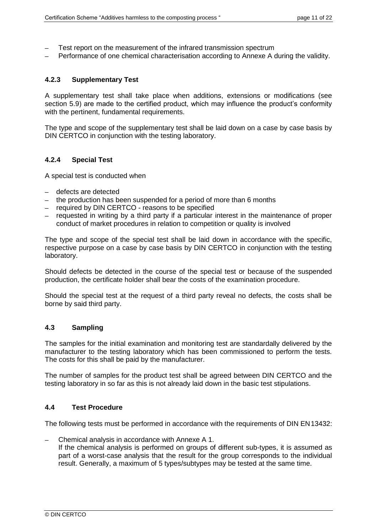- Test report on the measurement of the infrared transmission spectrum
- Performance of one chemical characterisation according to Annexe A during the validity.

# <span id="page-10-1"></span>**4.2.3 Supplementary Test**

A supplementary test shall take place when additions, extensions or modifications (see section [5.9\)](#page-16-0) are made to the certified product, which may influence the product's conformity with the pertinent, fundamental requirements.

The type and scope of the supplementary test shall be laid down on a case by case basis by DIN CERTCO in conjunction with the testing laboratory.

# <span id="page-10-2"></span>**4.2.4 Special Test**

A special test is conducted when

- ─ defects are detected
- $-$  the production has been suspended for a period of more than 6 months
- $-$  required by DIN CERTCO reasons to be specified
- ─ requested in writing by a third party if a particular interest in the maintenance of proper conduct of market procedures in relation to competition or quality is involved

The type and scope of the special test shall be laid down in accordance with the specific, respective purpose on a case by case basis by DIN CERTCO in conjunction with the testing laboratory.

Should defects be detected in the course of the special test or because of the suspended production, the certificate holder shall bear the costs of the examination procedure.

Should the special test at the request of a third party reveal no defects, the costs shall be borne by said third party.

# **4.3 Sampling**

The samples for the initial examination and monitoring test are standardally delivered by the manufacturer to the testing laboratory which has been commissioned to perform the tests. The costs for this shall be paid by the manufacturer.

The number of samples for the product test shall be agreed between DIN CERTCO and the testing laboratory in so far as this is not already laid down in the basic test stipulations.

# <span id="page-10-0"></span>**4.4 Test Procedure**

The following tests must be performed in accordance with the requirements of DIN EN13432:

Chemical analysis in accordance with [Annexe A](#page-17-0) 1. If the chemical analysis is performed on groups of different sub-types, it is assumed as part of a worst-case analysis that the result for the group corresponds to the individual result. Generally, a maximum of 5 types/subtypes may be tested at the same time.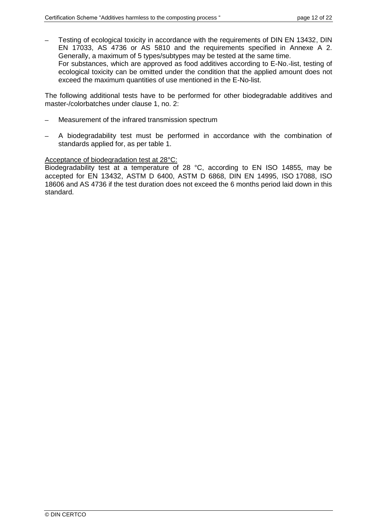Testing of ecological toxicity in accordance with the requirements of DIN EN 13432, DIN EN 17033, AS 4736 or AS 5810 and the requirements specified in Annexe A 2. Generally, a maximum of 5 types/subtypes may be tested at the same time. For substances, which are approved as food additives according to E-No.-list, testing of ecological toxicity can be omitted under the condition that the applied amount does not exceed the maximum quantities of use mentioned in the E-No-list.

The following additional tests have to be performed for other biodegradable additives and master-/colorbatches under clause [1,](#page-4-0) no. 2:

- Measurement of the infrared transmission spectrum
- A biodegradability test must be performed in accordance with the combination of standards applied for, as per table 1.

#### Acceptance of biodegradation test at 28°C:

Biodegradability test at a temperature of 28 °C, according to EN ISO 14855, may be accepted for EN 13432, ASTM D 6400, ASTM D 6868, DIN EN 14995, ISO 17088, ISO 18606 and AS 4736 if the test duration does not exceed the 6 months period laid down in this standard.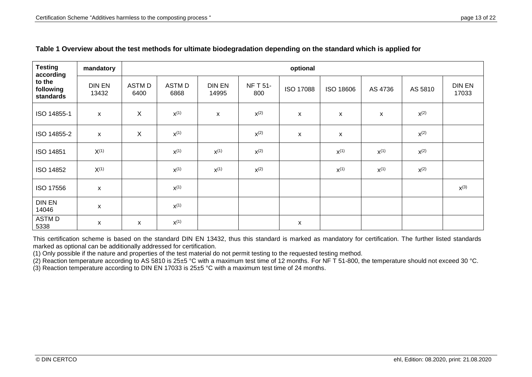| <b>Testing</b><br>according      | mandatory                 | optional                  |                |                        |                        |                    |                    |                    |           |                 |
|----------------------------------|---------------------------|---------------------------|----------------|------------------------|------------------------|--------------------|--------------------|--------------------|-----------|-----------------|
| to the<br>following<br>standards | <b>DIN EN</b><br>13432    | <b>ASTMD</b><br>6400      | ASTM D<br>6868 | <b>DIN EN</b><br>14995 | <b>NF T 51-</b><br>800 | <b>ISO 17088</b>   | ISO 18606          | AS 4736            | AS 5810   | DIN EN<br>17033 |
| ISO 14855-1                      | $\pmb{\mathsf{x}}$        | $\sf X$                   | $X^{(1)}$      | $\mathsf{x}$           | $X^{(2)}$              | $\pmb{\mathsf{X}}$ | $\pmb{\mathsf{X}}$ | $\pmb{\mathsf{X}}$ | $X^{(2)}$ |                 |
| ISO 14855-2                      | $\pmb{\mathsf{X}}$        | $\boldsymbol{\mathsf{X}}$ | $X^{(1)}$      |                        | $x^{(2)}$              | X                  | X                  |                    | $x^{(2)}$ |                 |
| <b>ISO 14851</b>                 | $X^{(1)}$                 |                           | $X^{(1)}$      | $X^{(1)}$              | $x^{(2)}$              |                    | $X^{(1)}$          | $X^{(1)}$          | $x^{(2)}$ |                 |
| <b>ISO 14852</b>                 | $X^{(1)}$                 |                           | $X^{(1)}$      | $X^{(1)}$              | $x^{(2)}$              |                    | $X^{(1)}$          | $X^{(1)}$          | $x^{(2)}$ |                 |
| ISO 17556                        | $\boldsymbol{\mathsf{X}}$ |                           | $X^{(1)}$      |                        |                        |                    |                    |                    |           | $x^{(3)}$       |
| <b>DIN EN</b><br>14046           | X                         |                           | $X^{(1)}$      |                        |                        |                    |                    |                    |           |                 |
| ASTM D<br>5338                   | $\pmb{\chi}$              | $\mathsf{x}$              | $X^{(1)}$      |                        |                        | X                  |                    |                    |           |                 |

# **Table 1 Overview about the test methods for ultimate biodegradation depending on the standard which is applied for**

This certification scheme is based on the standard DIN EN 13432, thus this standard is marked as mandatory for certification. The further listed standards marked as optional can be additionally addressed for certification.

(1) Only possible if the nature and properties of the test material do not permit testing to the requested testing method.

 $(2)$  Reaction temperature according to AS 5810 is 25±5 °C with a maximum test time of 12 months. For NF T 51-800, the temperature should not exceed 30 °C.

<span id="page-12-0"></span>(3) Reaction temperature according to DIN EN 17033 is 25±5 °C with a maximum test time of 24 months.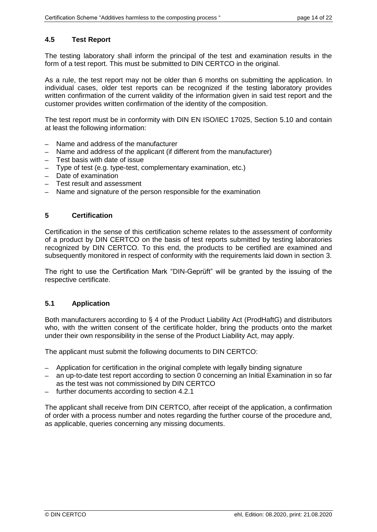# **4.5 Test Report**

The testing laboratory shall inform the principal of the test and examination results in the form of a test report. This must be submitted to DIN CERTCO in the original.

As a rule, the test report may not be older than 6 months on submitting the application. In individual cases, older test reports can be recognized if the testing laboratory provides written confirmation of the current validity of the information given in said test report and the customer provides written confirmation of the identity of the composition.

The test report must be in conformity with DIN EN ISO/IEC 17025, Section 5.10 and contain at least the following information:

- Name and address of the manufacturer
- Name and address of the applicant (if different from the manufacturer)
- Test basis with date of issue
- ─ Type of test (e.g. type-test, complementary examination, etc.)
- ─ Date of examination
- ─ Test result and assessment
- ─ Name and signature of the person responsible for the examination

#### **5 Certification**

Certification in the sense of this certification scheme relates to the assessment of conformity of a product by DIN CERTCO on the basis of test reports submitted by testing laboratories recognized by DIN CERTCO. To this end, the products to be certified are examined and subsequently monitored in respect of conformity with the requirements laid down in section [3.](#page-5-0)

The right to use the Certification Mark "DIN-Geprüft" will be granted by the issuing of the respective certificate.

# **5.1 Application**

Both manufacturers according to § 4 of the Product Liability Act (ProdHaftG) and distributors who, with the written consent of the certificate holder, bring the products onto the market under their own responsibility in the sense of the Product Liability Act, may apply.

The applicant must submit the following documents to DIN CERTCO:

- Application for certification in the original complete with legally binding signature
- an up-to-date test report according to section [0](#page-12-0) concerning an Initial Examination in so far as the test was not commissioned by DIN CERTCO
- ─ further documents according to section [4.2.1](#page-8-0)

<span id="page-13-0"></span>The applicant shall receive from DIN CERTCO, after receipt of the application, a confirmation of order with a process number and notes regarding the further course of the procedure and, as applicable, queries concerning any missing documents.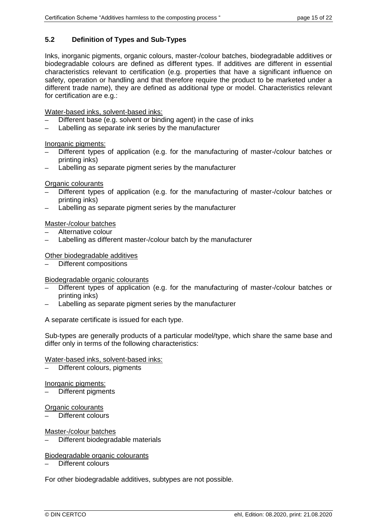# **5.2 Definition of Types and Sub-Types**

Inks, inorganic pigments, organic colours, master-/colour batches, biodegradable additives or biodegradable colours are defined as different types. If additives are different in essential characteristics relevant to certification (e.g. properties that have a significant influence on safety, operation or handling and that therefore require the product to be marketed under a different trade name), they are defined as additional type or model. Characteristics relevant for certification are e.g.:

Water-based inks, solvent-based inks:

- Different base (e.g. solvent or binding agent) in the case of inks
- Labelling as separate ink series by the manufacturer

Inorganic pigments:

- Different types of application (e.g. for the manufacturing of master-/colour batches or printing inks)
- Labelling as separate pigment series by the manufacturer

#### Organic colourants

- Different types of application (e.g. for the manufacturing of master-/colour batches or printing inks)
- Labelling as separate pigment series by the manufacturer
- Master-/colour batches
- Alternative colour
- Labelling as different master-/colour batch by the manufacturer

#### Other biodegradable additives

Different compositions

#### Biodegradable organic colourants

- Different types of application (e.g. for the manufacturing of master-/colour batches or printing inks)
- Labelling as separate pigment series by the manufacturer

A separate certificate is issued for each type.

Sub-types are generally products of a particular model/type, which share the same base and differ only in terms of the following characteristics:

#### Water-based inks, solvent-based inks:

Different colours, pigments

#### Inorganic pigments:

Different pigments

## Organic colourants

Different colours

## Master-/colour batches

Different biodegradable materials

#### Biodegradable organic colourants

Different colours

For other biodegradable additives, subtypes are not possible.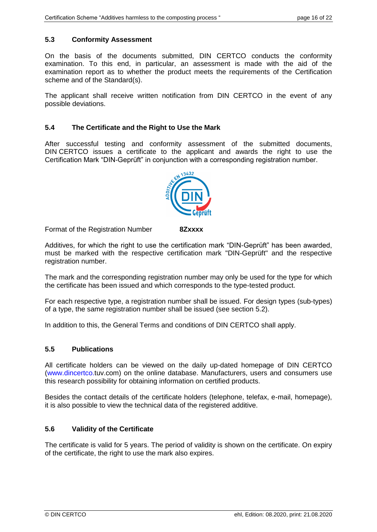# **5.3 Conformity Assessment**

On the basis of the documents submitted, DIN CERTCO conducts the conformity examination. To this end, in particular, an assessment is made with the aid of the examination report as to whether the product meets the requirements of the Certification scheme and of the Standard(s).

The applicant shall receive written notification from DIN CERTCO in the event of any possible deviations.

# **5.4 The Certificate and the Right to Use the Mark**

After successful testing and conformity assessment of the submitted documents, DIN CERTCO issues a certificate to the applicant and awards the right to use the Certification Mark "DIN-Geprüft" in conjunction with a corresponding registration number.



Format of the Registration Number **8Zxxxx**

Additives, for which the right to use the certification mark "DIN-Geprüft" has been awarded, must be marked with the respective certification mark "DIN-Geprüft" and the respective registration number.

The mark and the corresponding registration number may only be used for the type for which the certificate has been issued and which corresponds to the type-tested product.

For each respective type, a registration number shall be issued. For design types (sub-types) of a type, the same registration number shall be issued (see section [5.2\)](#page-13-0).

In addition to this, the General Terms and conditions of DIN CERTCO shall apply.

# **5.5 Publications**

All certificate holders can be viewed on the daily up-dated homepage of DIN CERTCO (www.dincertco.tuv.com) on the online database. Manufacturers, users and consumers use this research possibility for obtaining information on certified products.

Besides the contact details of the certificate holders (telephone, telefax, e-mail, homepage), it is also possible to view the technical data of the registered additive.

# **5.6 Validity of the Certificate**

The certificate is valid for 5 years. The period of validity is shown on the certificate. On expiry of the certificate, the right to use the mark also expires.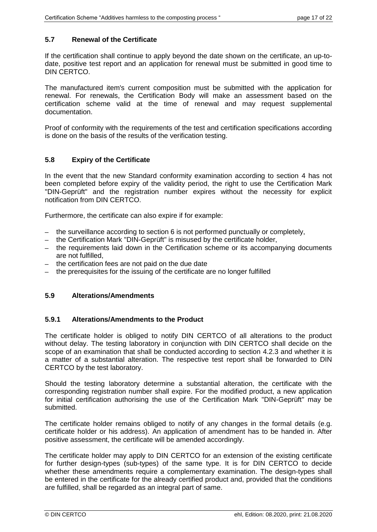# **5.7 Renewal of the Certificate**

If the certification shall continue to apply beyond the date shown on the certificate, an up-todate, positive test report and an application for renewal must be submitted in good time to DIN CERTCO.

The manufactured item's current composition must be submitted with the application for renewal. For renewals, the Certification Body will make an assessment based on the certification scheme valid at the time of renewal and may request supplemental documentation.

Proof of conformity with the requirements of the test and certification specifications according is done on the basis of the results of the verification testing.

# **5.8 Expiry of the Certificate**

In the event that the new Standard conformity examination according to section [4](#page-8-1) has not been completed before expiry of the validity period, the right to use the Certification Mark "DIN-Geprüft" and the registration number expires without the necessity for explicit notification from DIN CERTCO.

Furthermore, the certificate can also expire if for example:

- $-$  the surveillance according to section [6](#page-17-1) is not performed punctually or completely,
- the Certification Mark "DIN-Geprüft" is misused by the certificate holder,
- the requirements laid down in the Certification scheme or its accompanying documents are not fulfilled,
- ─ the certification fees are not paid on the due date
- the prerequisites for the issuing of the certificate are no longer fulfilled

# <span id="page-16-0"></span>**5.9 Alterations/Amendments**

# **5.9.1 Alterations/Amendments to the Product**

The certificate holder is obliged to notify DIN CERTCO of all alterations to the product without delay. The testing laboratory in conjunction with DIN CERTCO shall decide on the scope of an examination that shall be conducted according to section [4.2.3](#page-10-1) and whether it is a matter of a substantial alteration. The respective test report shall be forwarded to DIN CERTCO by the test laboratory.

Should the testing laboratory determine a substantial alteration, the certificate with the corresponding registration number shall expire. For the modified product, a new application for initial certification authorising the use of the Certification Mark "DIN-Geprüft" may be submitted.

The certificate holder remains obliged to notify of any changes in the formal details (e.g. certificate holder or his address). An application of amendment has to be handed in. After positive assessment, the certificate will be amended accordingly.

The certificate holder may apply to DIN CERTCO for an extension of the existing certificate for further design-types (sub-types) of the same type. It is for DIN CERTCO to decide whether these amendments require a complementary examination. The design-types shall be entered in the certificate for the already certified product and, provided that the conditions are fulfilled, shall be regarded as an integral part of same.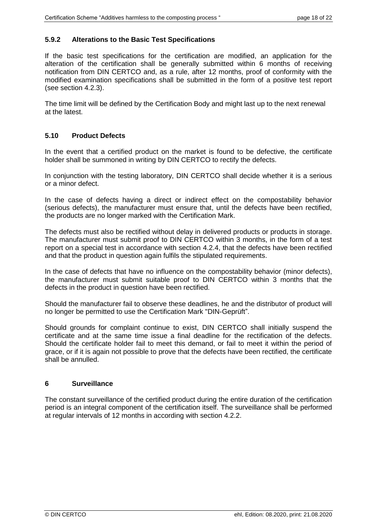# **5.9.2 Alterations to the Basic Test Specifications**

If the basic test specifications for the certification are modified, an application for the alteration of the certification shall be generally submitted within 6 months of receiving notification from DIN CERTCO and, as a rule, after 12 months, proof of conformity with the modified examination specifications shall be submitted in the form of a positive test report (see section [4.2.3\)](#page-10-1).

The time limit will be defined by the Certification Body and might last up to the next renewal at the latest.

# **5.10 Product Defects**

In the event that a certified product on the market is found to be defective, the certificate holder shall be summoned in writing by DIN CERTCO to rectify the defects.

In conjunction with the testing laboratory, DIN CERTCO shall decide whether it is a serious or a minor defect.

In the case of defects having a direct or indirect effect on the compostability behavior (serious defects), the manufacturer must ensure that, until the defects have been rectified, the products are no longer marked with the Certification Mark.

The defects must also be rectified without delay in delivered products or products in storage. The manufacturer must submit proof to DIN CERTCO within 3 months, in the form of a test report on a special test in accordance with section [4.2.4,](#page-10-2) that the defects have been rectified and that the product in question again fulfils the stipulated requirements.

In the case of defects that have no influence on the compostability behavior (minor defects), the manufacturer must submit suitable proof to DIN CERTCO within 3 months that the defects in the product in question have been rectified.

Should the manufacturer fail to observe these deadlines, he and the distributor of product will no longer be permitted to use the Certification Mark "DIN-Geprüft".

Should grounds for complaint continue to exist, DIN CERTCO shall initially suspend the certificate and at the same time issue a final deadline for the rectification of the defects. Should the certificate holder fail to meet this demand, or fail to meet it within the period of grace, or if it is again not possible to prove that the defects have been rectified, the certificate shall be annulled.

# <span id="page-17-1"></span>**6 Surveillance**

<span id="page-17-0"></span>The constant surveillance of the certified product during the entire duration of the certification period is an integral component of the certification itself. The surveillance shall be performed at regular intervals of 12 months in according with section [4.2.2.](#page-9-0)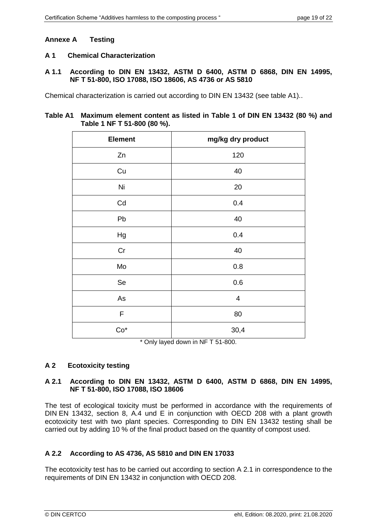# **Annexe A Testing**

# **A 1 Chemical Characterization**

#### **A 1.1 According to DIN EN 13432, ASTM D 6400, ASTM D 6868, DIN EN 14995, NF T 51-800, ISO 17088, ISO 18606, AS 4736 or AS 5810**

Chemical characterization is carried out according to DIN EN 13432 (see table A1)..

# **Table A1 Maximum element content as listed in Table 1 of DIN EN 13432 (80 %) and Table 1 NF T 51-800 (80 %).**

| <b>Element</b> | mg/kg dry product       |
|----------------|-------------------------|
| Zn             | 120                     |
| Cu             | 40                      |
| Ni             | 20                      |
| Cd             | 0.4                     |
| Pb             | 40                      |
| Hg             | 0.4                     |
| Cr             | 40                      |
| Mo             | 0.8                     |
| Se             | 0.6                     |
| As             | $\overline{\mathbf{4}}$ |
| F              | 80                      |
| $Co*$          | 30,4                    |

\* Only layed down in NF T 51-800.

# **A 2 Ecotoxicity testing**

# **A 2.1 According to DIN EN 13432, ASTM D 6400, ASTM D 6868, DIN EN 14995, NF T 51-800, ISO 17088, ISO 18606**

The test of ecological toxicity must be performed in accordance with the requirements of DIN EN 13432, section 8, A.4 und E in conjunction with OECD 208 with a plant growth ecotoxicity test with two plant species. Corresponding to DIN EN 13432 testing shall be carried out by adding 10 % of the final product based on the quantity of compost used.

# **A 2.2 According to AS 4736, AS 5810 and DIN EN 17033**

The ecotoxicity test has to be carried out according to section A 2.1 in correspondence to the requirements of DIN EN 13432 in conjunction with OECD 208.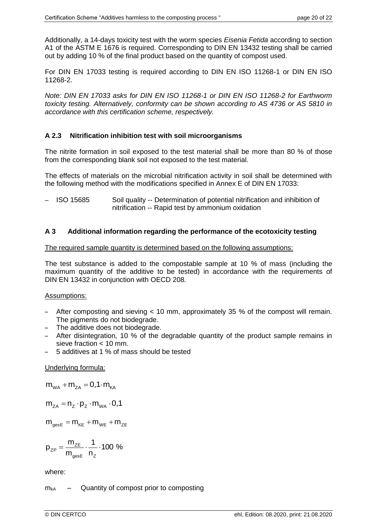Additionally, a 14-days toxicity test with the worm species *Eisenia Fetida* according to section A1 of the ASTM E 1676 is required. Corresponding to DIN EN 13432 testing shall be carried out by adding 10 % of the final product based on the quantity of compost used.

For DIN EN 17033 testing is required according to DIN EN ISO 11268-1 or DIN EN ISO 11268-2.

*Note: DIN EN 17033 asks for DIN EN ISO 11268-1 or DIN EN ISO 11268-2 for Earthworm toxicity testing. Alternatively, conformity can be shown according to AS 4736 or AS 5810 in accordance with this certification scheme, respectively.*

# **A 2.3 Nitrification inhibition test with soil microorganisms**

The nitrite formation in soil exposed to the test material shall be more than 80 % of those from the corresponding blank soil not exposed to the test material.

The effects of materials on the microbial nitrification activity in soil shall be determined with the following method with the modifications specified in Annex E of DIN EN 17033:

 $-$  ISO 15685 Soil quality -- Determination of potential nitrification and inhibition of nitrification -- Rapid test by ammonium oxidation

# **A 3 Additional information regarding the performance of the ecotoxicity testing**

#### The required sample quantity is determined based on the following assumptions:

The test substance is added to the compostable sample at 10 % of mass (including the maximum quantity of the additive to be tested) in accordance with the requirements of DIN EN 13432 in conjunction with OECD 208.

# Assumptions:

- After composting and sieving < 10 mm, approximately 35 % of the compost will remain. The pigments do not biodegrade.
- The additive does not biodegrade.
- After disintegration, 10 % of the degradable quantity of the product sample remains in sieve fraction < 10 mm.
- 5 additives at 1 % of mass should be tested

# Underlying formula:

$$
m_{_{WA}}+m_{_{ZA}}=0,1\!\cdot\! m_{_{KA}}
$$

$$
m_{_{ZA}}=n_{_Z}\cdot p_{_Z}\cdot m_{_{WA}}\cdot 0.1
$$

 $m_{\text{gesE}} = m_{\text{KE}} + m_{\text{WE}} + m_{\text{ZE}}$ 

$$
p_{zP}=\frac{m_{zE}}{m_{\text{gesE}}}\cdot\frac{1}{n_z}\cdot 100~\%
$$

where:

 $m_{kA}$  – Quantity of compost prior to composting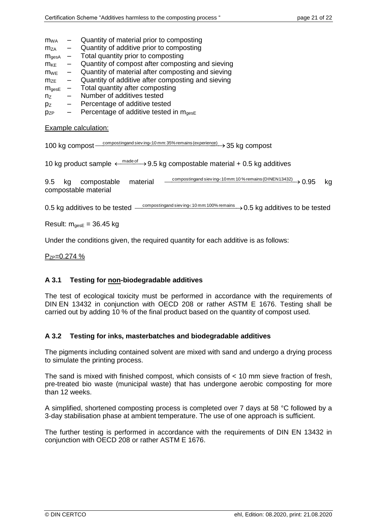- $m_{WA}$  Quantity of material prior to composting
- $m_{ZA}$  Quantity of additive prior to composting
- $m_{\text{qesA}}$  Total quantity prior to composting
- $m_{KE}$  Quantity of compost after composting and sieving
- $m<sub>WE</sub>$  Quantity of material after composting and sieving
- $m_{ZE}$  Quantity of additive after composting and sieving  $m_{\text{gesE}}$  Total quantity after composting
- $m_{\text{gesE}}$  Total quantity after composting
- $n_z$  Number of additives tested
- $p_Z$  Percentage of additive tested
- $p_{ZP}$  Percentage of additive tested in  $m_{qesE}$

Example calculation:

100 kg compost <u>composting and sieving<10 mm: 35% remains (experience)</u>  $\rightarrow$  35 kg compost

10 kg product sample  $\leftarrow^{\text{made of}}$  9.5 kg compostable material + 0.5 kg additives

9.5 kg compostable material <u>Compostingandsieving<10mm:10%remains (DINEN13432)</u> 0.95 kg compostable material

0.5 kg additives to be tested  $-$  composting and sieving  $10\,\mathrm{mm}\,100\%$  remains  $\rightarrow$  0.5 kg additives to be tested

Result:  $m_{\text{gesE}} = 36.45$  kg

Under the conditions given, the required quantity for each additive is as follows:

 $P_{ZP}=0.274\%$ 

# **A 3.1 Testing for non-biodegradable additives**

The test of ecological toxicity must be performed in accordance with the requirements of DIN EN 13432 in conjunction with OECD 208 or rather ASTM E 1676. Testing shall be carried out by adding 10 % of the final product based on the quantity of compost used.

# **A 3.2 Testing for inks, masterbatches and biodegradable additives**

The pigments including contained solvent are mixed with sand and undergo a drying process to simulate the printing process.

The sand is mixed with finished compost, which consists of < 10 mm sieve fraction of fresh, pre-treated bio waste (municipal waste) that has undergone aerobic composting for more than 12 weeks.

A simplified, shortened composting process is completed over 7 days at 58 °C followed by a 3-day stabilisation phase at ambient temperature. The use of one approach is sufficient.

The further testing is performed in accordance with the requirements of DIN EN 13432 in conjunction with OECD 208 or rather ASTM E 1676.